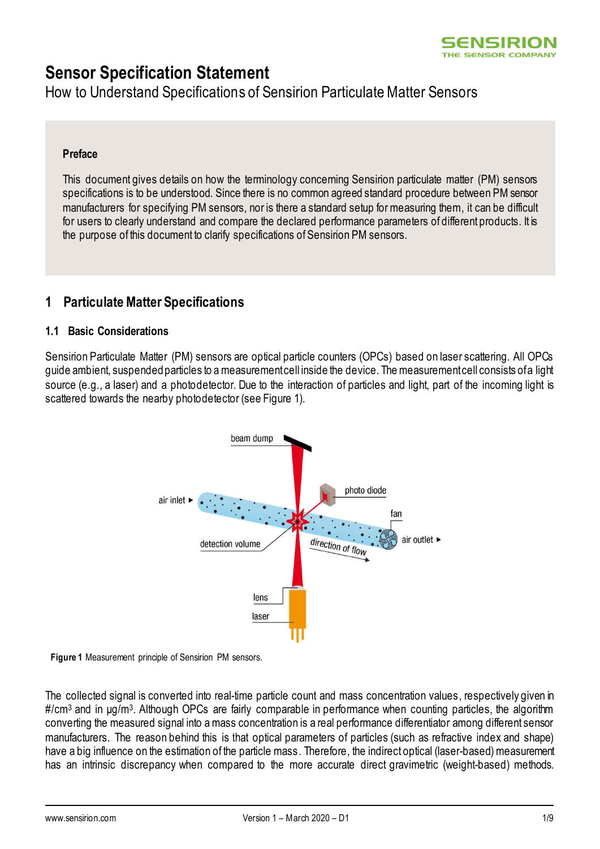

# **Sensor Specification Statement**

How to Understand Specifications of Sensirion Particulate Matter Sensors

#### **Preface**

This document gives details on how the terminology concerning Sensirion particulate matter (PM) sensors specifications is to be understood. Since there is no common agreed standard procedure between PM sensor manufacturers for specifying PM sensors, nor is there a standard setup for measuring them, it can be difficult for users to clearly understand and compare the declared performance parameters of different products. It is the purpose of this document to clarify specifications of Sensirion PM sensors.

## **1 Particulate Matter Specifications**

#### **1.1 Basic Considerations**

Sensirion Particulate Matter (PM) sensors are optical particle counters (OPCs) based on laser scattering. All OPCs guide ambient, suspended particles to a measurement cell inside the device. The measurement cell consists of a light source (e.g., a laser) and a photodetector. Due to the interaction of particles and light, part of the incoming light is scattered towards the nearby photodetector (see [Figure 1\)](#page-0-0).



<span id="page-0-0"></span>

The collected signal is converted into real-time particle count and mass concentration values, respectively given in #/cm<sup>3</sup> and in µg/m<sup>3</sup>. Although OPCs are fairly comparable in performance when counting particles, the algorithm converting the measured signal into a mass concentration is a real performance differentiator among different sensor manufacturers. The reason behind this is that optical parameters of particles (such as refractive index and shape) have a big influence on the estimation of the particle mass. Therefore, the indirect optical (laser-based) measurement has an intrinsic discrepancy when compared to the more accurate direct gravimetric (weight-based) methods.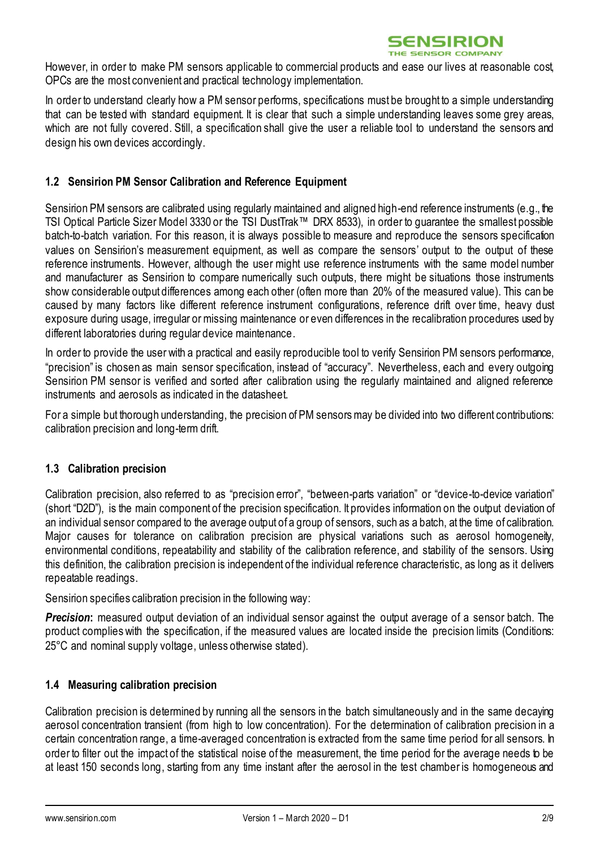

However, in order to make PM sensors applicable to commercial products and ease our lives at reasonable cost, OPCs are the most convenient and practical technology implementation.

In order to understand clearly how a PM sensor performs, specifications must be brought to a simple understanding that can be tested with standard equipment. It is clear that such a simple understanding leaves some grey areas, which are not fully covered. Still, a specification shall give the user a reliable tool to understand the sensors and design his own devices accordingly.

#### **1.2 Sensirion PM Sensor Calibration and Reference Equipment**

Sensirion PM sensors are calibrated using regularly maintained and aligned high-end reference instruments (e.g., the TSI Optical Particle Sizer Model 3330 or the TSI DustTrak™ DRX 8533), in order to guarantee the smallest possible batch-to-batch variation. For this reason, it is always possible to measure and reproduce the sensors specification values on Sensirion's measurement equipment, as well as compare the sensors' output to the output of these reference instruments. However, although the user might use reference instruments with the same model number and manufacturer as Sensirion to compare numerically such outputs, there might be situations those instruments show considerable output differences among each other (often more than 20% of the measured value). This can be caused by many factors like different reference instrument configurations, reference drift over time, heavy dust exposure during usage, irregular or missing maintenance or even differences in the recalibration procedures used by different laboratories during regular device maintenance.

In order to provide the user with a practical and easily reproducible tool to verify Sensirion PM sensors performance, "precision" is chosen as main sensor specification, instead of "accuracy". Nevertheless, each and every outgoing Sensirion PM sensor is verified and sorted after calibration using the regularly maintained and aligned reference instruments and aerosols as indicated in the datasheet.

For a simple but thorough understanding, the precision of PM sensors may be divided into two different contributions: calibration precision and long-term drift.

#### **1.3 Calibration precision**

Calibration precision, also referred to as "precision error", "between-parts variation" or "device-to-device variation" (short "D2D"), is the main component of the precision specification. It provides information on the output deviation of an individual sensor compared to the average output of a group of sensors, such as a batch, at the time of calibration. Major causes for tolerance on calibration precision are physical variations such as aerosol homogeneity, environmental conditions, repeatability and stability of the calibration reference, and stability of the sensors. Using this definition, the calibration precision is independent of the individual reference characteristic, as long as it delivers repeatable readings.

Sensirion specifies calibration precision in the following way:

**Precision:** measured output deviation of an individual sensor against the output average of a sensor batch. The product complies with the specification, if the measured values are located inside the precision limits (Conditions: 25°C and nominal supply voltage, unless otherwise stated).

#### **1.4 Measuring calibration precision**

Calibration precision is determined by running all the sensors in the batch simultaneously and in the same decaying aerosol concentration transient (from high to low concentration). For the determination of calibration precision in a certain concentration range, a time-averaged concentration is extracted from the same time period for all sensors. In order to filter out the impact of the statistical noise of the measurement, the time period for the average needs to be at least 150 seconds long, starting from any time instant after the aerosol in the test chamber is homogeneous and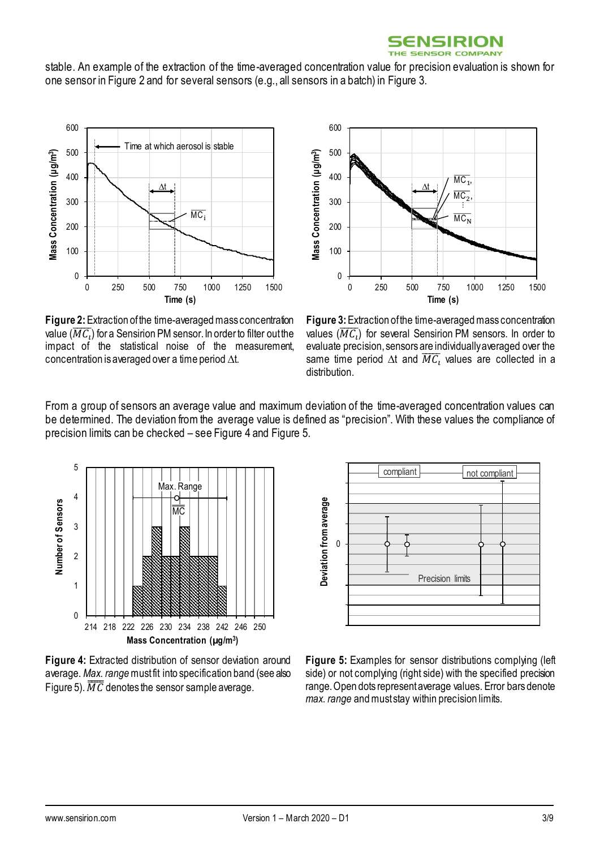

stable. An example of the extraction of the time-averaged concentration value for precision evaluation is shown for one sensor i[n Figure 2](#page-2-0) and for several sensors (e.g., all sensors in a batch) in [Figure 3.](#page-2-1)





<span id="page-2-0"></span>**Figure 2:** Extraction of the time-averaged mass concentration value  $(\overline{MC_t})$  for a Sensirion PM sensor. In order to filter out the impact of the statistical noise of the measurement, concentration is averaged over a time period ∆t.

<span id="page-2-1"></span>**Figure 3:** Extraction of the time-averaged mass concentration values  $(\overline{MC_t})$  for several Sensirion PM sensors. In order to evaluate precision, sensors are individually averaged over the same time period ∆t and  $\overline{MC}_t$  values are collected in a distribution.

From a group of sensors an average value and maximum deviation of the time-averaged concentration values can be determined. The deviation from the average value is defined as "precision". With these values the compliance of precision limits can be checked – see [Figure 4](#page-2-2) and [Figure 5.](#page-2-3)



<span id="page-2-2"></span>Figure 4: Extracted distribution of sensor deviation around average. *Max. range*must fit into specification band (see also [Figure 5\)](#page-2-3).  $\overline{MC}$  denotes the sensor sample average.



<span id="page-2-3"></span>**Figure 5:** Examples for sensor distributions complying (left) side) or not complying (right side) with the specified precision range. Open dots represent average values. Error bars denote *max. range* and must stay within precision limits.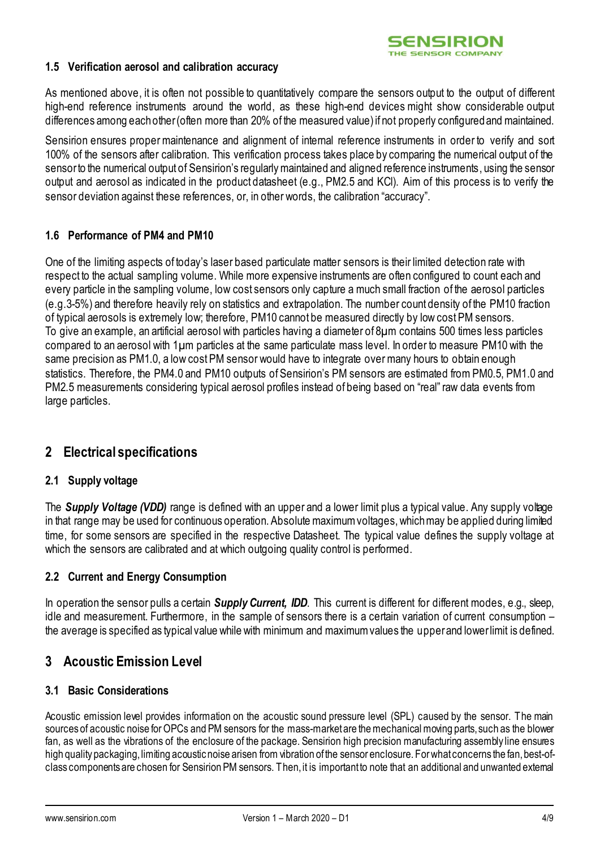

#### **1.5 Verification aerosol and calibration accuracy**

As mentioned above, it is often not possible to quantitatively compare the sensors output to the output of different high-end reference instruments around the world, as these high-end devices might show considerable output differences among each other (often more than 20% of the measured value)if not properly configured and maintained.

Sensirion ensures proper maintenance and alignment of internal reference instruments in order to verify and sort 100% of the sensors after calibration. This verification process takes place by comparing the numerical output of the sensor to the numerical output of Sensirion's regularly maintained and aligned reference instruments, using the sensor output and aerosol as indicated in the product datasheet (e.g., PM2.5 and KCl). Aim of this process is to verify the sensor deviation against these references, or, in other words, the calibration "accuracy".

#### **1.6 Performance of PM4 and PM10**

One of the limiting aspects of today's laser based particulate matter sensors is their limited detection rate with respect to the actual sampling volume. While more expensive instruments are often configured to count each and every particle in the sampling volume, low cost sensors only capture a much small fraction of the aerosol particles (e.g.3-5%) and therefore heavily rely on statistics and extrapolation. The number count density of the PM10 fraction of typical aerosols is extremely low; therefore, PM10 cannot be measured directly by low cost PM sensors. To give an example, an artificial aerosol with particles having a diameter of 8µm contains 500 times less particles compared to an aerosol with 1µm particles at the same particulate mass level. In order to measure PM10 with the same precision as PM1.0, a low cost PM sensor would have to integrate over many hours to obtain enough statistics. Therefore, the PM4.0 and PM10 outputs of Sensirion's PM sensors are estimated from PM0.5, PM1.0 and PM2.5 measurements considering typical aerosol profiles instead of being based on "real" raw data events from large particles.

## **2 Electrical specifications**

#### **2.1 Supply voltage**

The *Supply Voltage (VDD)* range is defined with an upper and a lower limit plus a typical value. Any supply voltage in that range may be used for continuous operation. Absolute maximum voltages, which may be applied during limited time, for some sensors are specified in the respective Datasheet. The typical value defines the supply voltage at which the sensors are calibrated and at which outgoing quality control is performed.

### **2.2 Current and Energy Consumption**

In operation the sensor pulls a certain *Supply Current, IDD*. This current is different for different modes, e.g., sleep, idle and measurement. Furthermore, in the sample of sensors there is a certain variation of current consumption – the average is specified as typical value while with minimum and maximum values the upper and lower limit is defined.

## **3 Acoustic Emission Level**

#### **3.1 Basic Considerations**

Acoustic emission level provides information on the acoustic sound pressure level (SPL) caused by the sensor. The main sources of acoustic noise forOPCs and PM sensors for the mass-market are the mechanical moving parts, such as the blower fan, as well as the vibrations of the enclosure of the package. Sensirion high precision manufacturing assembly line ensures high quality packaging, limiting acoustic noise arisen from vibration of the sensor enclosure. For what concerns the fan, best-ofclass components are chosen for Sensirion PM sensors. Then, it is important to note that an additional and unwanted external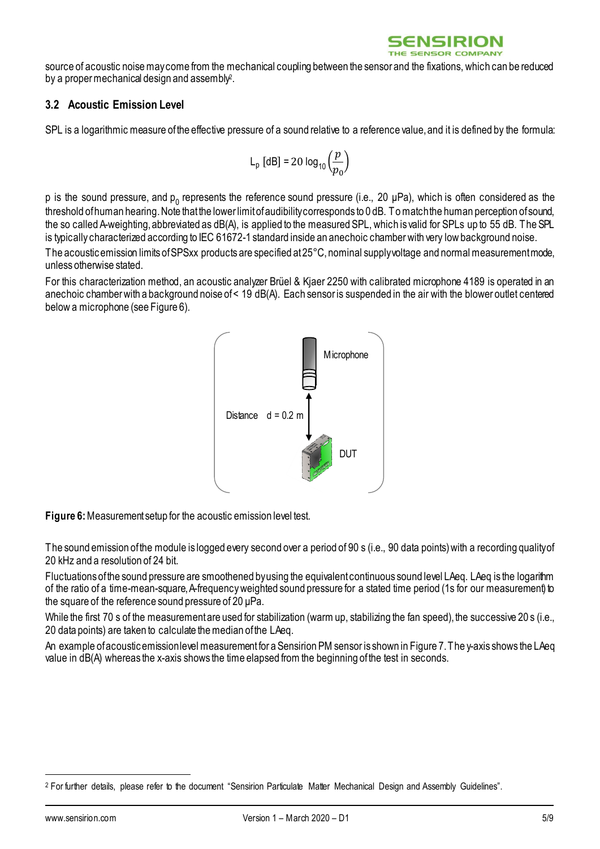

source of acoustic noise may come from the mechanical coupling between the sensor and the fixations, which can be reduced by a proper mechanical design and assembly $^2$ .

#### **3.2 Acoustic Emission Level**

SPL is a [logarithmic measure](https://en.wikipedia.org/wiki/Level_(logarithmic_quantity)) of the effective pressure of a sound relative to a reference value, and it is defined by the formula:

$$
L_p \text{ [dB]} = 20 \log_{10} \left(\frac{p}{p_0}\right)
$$

p is the sound pressure, and  $\bm{{\mathsf{p}}}_0$  represents the reference sound pressure (i.e., 20 µPa), which is often considered as the [threshold of human hearing](https://en.wikipedia.org/wiki/Threshold_of_human_hearing). Note that the lower limit of audibility corresponds to 0 dB. To match the human perception of sound, the so called A-weighting, abbreviated as dB(A), is applied to the measured SPL, which is valid for SPLs up to 55 dB. The SPL is typically characterized according to IEC 61672-1 standard inside an anechoic chamberwith very low background noise.

The acoustic emission limits of SPSxx products are specified at 25°C, nominal supply voltage and normal measurement mode, unless otherwise stated.

For this characterization method, an acoustic analyzer Brüel & Kjaer 2250 with calibrated microphone 4189 is operated in an anechoic chamber with a background noise of < 19 dB(A). Each sensor is suspended in the air with the blower outlet centered below a microphone (se[e Figure 6\)](#page-4-0).



<span id="page-4-0"></span>**Figure 6:** Measurement setup for the acoustic emission level test.

The sound emission of the module is logged every second over a period of 90 s (i.e., 90 data points) with a recording quality of 20 kHz and a resolution of 24 bit.

Fluctuations of the sound pressure are smoothened by using the equivalent continuous sound level LAeq. LAeq is the logarithm of the ratio of a time-mean-square, A-frequency weighted sound pressure for a stated time period (1s for our measurement) to the square of the reference sound pressure of 20 μPa.

While the first 70 s of the measurement are used for stabilization (warm up, stabilizing the fan speed), the successive 20 s (i.e., 20 data points) are taken to calculate the median of the LAeq.

An example of acoustic emission level measurement for a Sensirion PM sensor is shown i[n Figure 7.](#page-5-0) The y-axis shows the LAeq value in dB(A) whereas the x-axis shows the time elapsed from the beginning of the test in seconds.

l

<sup>2</sup> For further details, please refer to the document "Sensirion Particulate Matter Mechanical Design and Assembly Guidelines".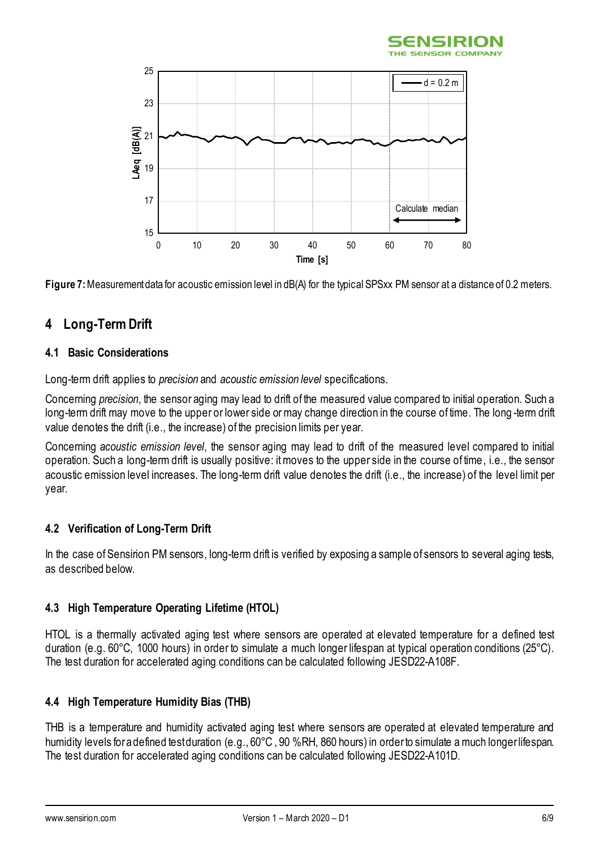



<span id="page-5-0"></span>**Figure 7:** Measurement data for acoustic emission level in dB(A) for the typical SPSxx PM sensor at a distance of 0.2 meters.

# **4 Long-Term Drift**

### **4.1 Basic Considerations**

Long-term drift applies to *precision* and *acoustic emission level* specifications.

Concerning *precision*, the sensor aging may lead to drift of the measured value compared to initial operation. Such a long-term drift may move to the upper or lower side or may change direction in the course of time. The long -term drift value denotes the drift (i.e., the increase) of the precision limits per year.

Concerning *acoustic emission level*, the sensor aging may lead to drift of the measured level compared to initial operation. Such a long-term drift is usually positive: it moves to the upper side in the course of time, i.e., the sensor acoustic emission level increases. The long-term drift value denotes the drift (i.e., the increase) of the level limit per year.

### **4.2 Verification of Long-Term Drift**

In the case of Sensirion PM sensors, long-term drift is verified by exposing a sample of sensors to several aging tests, as described below.

### **4.3 High Temperature Operating Lifetime (HTOL)**

HTOL is a thermally activated aging test where sensors are operated at elevated temperature for a defined test duration (e.g. 60°C, 1000 hours) in order to simulate a much longer lifespan at typical operation conditions (25°C). The test duration for accelerated aging conditions can be calculated following JESD22-A108F.

### **4.4 High Temperature Humidity Bias (THB)**

THB is a temperature and humidity activated aging test where sensors are operated at elevated temperature and humidity levels for a defined test duration (e.g., 60°C, 90 %RH, 860 hours) in order to simulate a much longer lifespan. The test duration for accelerated aging conditions can be calculated following JESD22-A101D.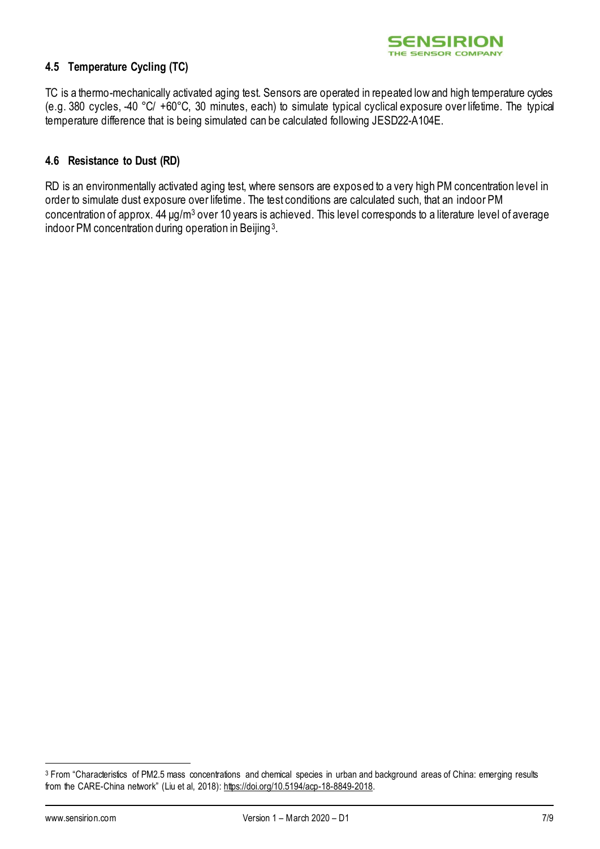

### **4.5 Temperature Cycling (TC)**

TC is a thermo-mechanically activated aging test. Sensors are operated in repeated low and high temperature cycles (e.g. 380 cycles, -40 °C/ +60°C, 30 minutes, each) to simulate typical cyclical exposure over lifetime. The typical temperature difference that is being simulated can be calculated following JESD22-A104E.

#### **4.6 Resistance to Dust (RD)**

RD is an environmentally activated aging test, where sensors are exposed to a very high PM concentration level in order to simulate dust exposure over lifetime. The test conditions are calculated such, that an indoor PM concentration of approx. 44 μg/m<sup>3</sup> over 10 years is achieved. This level corresponds to a literature level of average indoor PM concentration during operation in Beijing<sup>3</sup>.

l

<sup>3</sup> From "Characteristics of PM2.5 mass concentrations and chemical species in urban and background areas of China: emerging results from the CARE-China network" (Liu et al, 2018): [https://doi.org/10.5194/acp-18-8849-2018.](https://doi.org/10.5194/acp-18-8849-2018)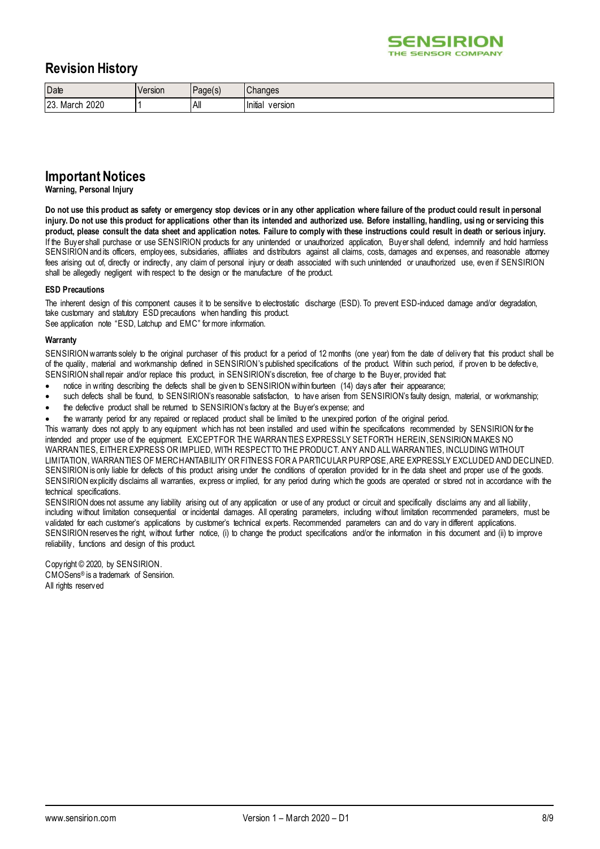

## **Revision History**

| Date              | Version | Page(s) | hanges                               |
|-------------------|---------|---------|--------------------------------------|
| 2020<br>23. March |         | All     | $\cdots$<br><b>Inital</b><br>version |

## **Important Notices**

**Warning, Personal Injury**

**Do not use this product as safety or emergency stop devices or in any other application where failure of the product could result in personal injury. Do not use this product for applications other than its intended and authorized use. Before installing, handling, using or servicing this product, please consult the data sheet and application notes. Failure to comply with these instructions could result in death or serious injury.** If the Buyer shall purchase or use SENSIRION products for any unintended or unauthorized application, Buyer shall defend, indemnify and hold harmless SENSIRION and its officers, employees, subsidiaries, affiliates and distributors against all claims, costs, damages and expenses, and reasonable attorney fees arising out of, directly or indirectly, any claim of personal injury or death associated with such unintended or unauthorized use, even if SENSIRION shall be allegedly negligent with respect to the design or the manufacture of the product.

#### **ESD Precautions**

The inherent design of this component causes it to be sensitive to electrostatic discharge (ESD). To prevent ESD-induced damage and/or degradation, take customary and statutory ESD precautions when handling this product. See application note "ESD, Latchup and EMC" for more information.

#### **Warranty**

SENSIRION warrants solely to the original purchaser of this product for a period of 12 months (one year) from the date of delivery that this product shall be of the quality, material and workmanship defined in SENSIRION's published specifications of the product. Within such period, if proven to be defective, SENSIRION shall repair and/or replace this product, in SENSIRION's discretion, free of charge to the Buyer, provided that:

- notice in writing describing the defects shall be given to SENSIRION within fourteen (14) days after their appearance;
- such defects shall be found, to SENSIRION's reasonable satisfaction, to have arisen from SENSIRION's faulty design, material, or workmanship;
- the defective product shall be returned to SENSIRION's factory at the Buyer's expense; and
- the warranty period for any repaired or replaced product shall be limited to the unexpired portion of the original period.

This warranty does not apply to any equipment which has not been installed and used within the specifications recommended by SENSIRION for the intended and proper use of the equipment. EXCEPT FOR THE WARRANTIES EXPRESSLY SET FORTH HEREIN, SENSIRION MAKES NO WARRANTIES, EITHER EXPRESS OR IMPLIED, WITH RESPECT TO THE PRODUCT. ANY AND ALL WARRANTIES, INCLUDING WITHOUT LIMITATION, WARRANTIES OF MERCHANTABILITY OR FITNESS FOR A PARTICULAR PURPOSE, ARE EXPRESSLY EXCLUDED AND DECLINED. SENSIRION is only liable for defects of this product arising under the conditions of operation provided for in the data sheet and proper use of the goods. SENSIRION explicitly disclaims all warranties, express or implied, for any period during which the goods are operated or stored not in accordance with the technical specifications.

SENSIRION does not assume any liability arising out of any application or use of any product or circuit and specifically disclaims any and all liability, including without limitation consequential or incidental damages. All operating parameters, including without limitation recommended parameters, must be validated for each customer's applications by customer's technical experts. Recommended parameters can and do vary in different applications. SENSIRION reserves the right, without further notice, (i) to change the product specifications and/or the information in this document and (ii) to improve reliability, functions and design of this product.

Copyright © 2020, by SENSIRION. CMOSens® is a trademark of Sensirion. All rights reserved